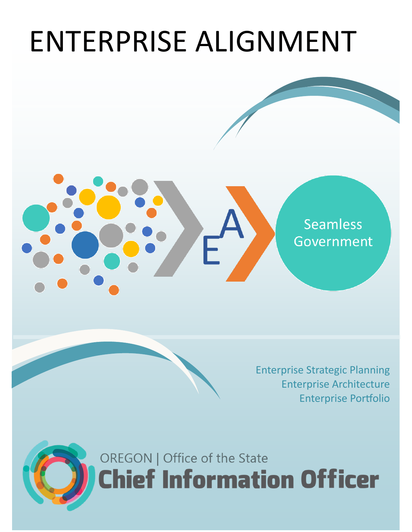# ENTERPRISE ALIGNMENT







OREGON | Office of the State **Chief Information Officer**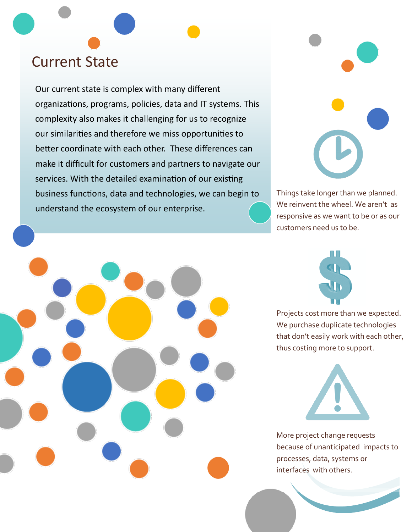## Current State

Our current state is complex with many different organizations, programs, policies, data and IT systems. This complexity also makes it challenging for us to recognize our similarities and therefore we miss opportunities to better coordinate with each other. These differences can make it difficult for customers and partners to navigate our services. With the detailed examination of our existing business functions, data and technologies, we can begin to understand the ecosystem of our enterprise.



Things take longer than we planned. We reinvent the wheel. We aren't as responsive as we want to be or as our customers need us to be.



Projects cost more than we expected. We purchase duplicate technologies that don't easily work with each other, thus costing more to support.



More project change requests because of unanticipated impacts to processes, data, systems or interfaces with others.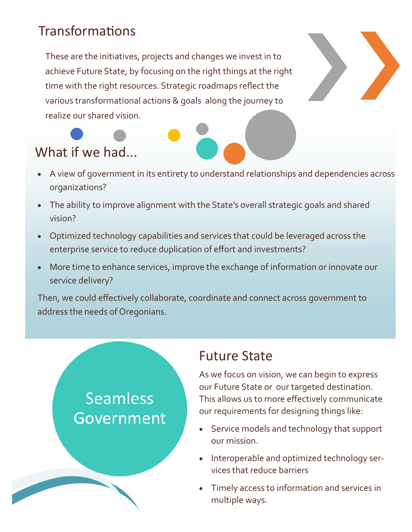### **Transformations**

These are the initiatives, projects and changes we invest in to achieve Future State, by focusing on the right things at the right time with the right resources. Strategic roadmaps reflect the various transformational actions & goals along the journey to realize our shared vision.



- A view of government in its entirety to understand relationships and dependencies across organizations?
- The ability to improve alignment with the State's overall strategic goals and shared vision?
- Optimized technology capabilities and services that could be leveraged across the enterprise service to reduce duplication of effort and investments?
- More time to enhance services, improve the exchange of information or innovate our service delivery?

Then, we could effectively collaborate, coordinate and connect across government to address the needs of Oregonians.

# **Seamless** Government

simplifying IT

#### Future State

As we focus on vision, we can begin to express our Future State or our targeted destination. This allows us to more effectively communicate our requirements for designing things like:

- Service models and technology that support our mission.
- Interoperable and optimized technology services that reduce barriers
- Timely access to information and services in multiple ways.